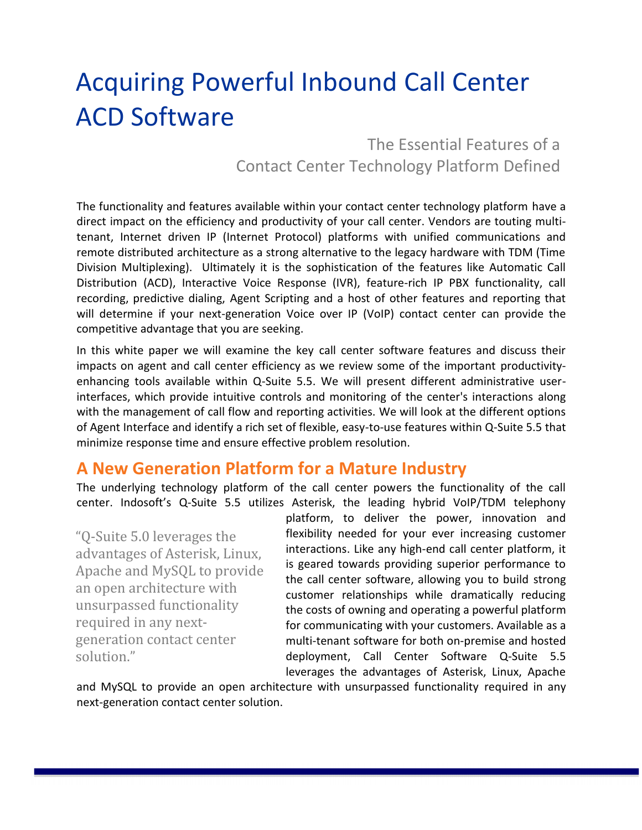# Acquiring Powerful Inbound Call Center ACD Software

The Essential Features of a Contact Center Technology Platform Defined

The functionality and features available within your contact center technology platform have a direct impact on the efficiency and productivity of your call center. Vendors are touting multitenant, Internet driven IP (Internet Protocol) platforms with unified communications and remote distributed architecture as a strong alternative to the legacy hardware with TDM (Time Division Multiplexing). Ultimately it is the sophistication of the features like Automatic Call Distribution (ACD), Interactive Voice Response (IVR), feature-rich IP PBX functionality, call recording, predictive dialing, Agent Scripting and a host of other features and reporting that will determine if your next-generation Voice over IP (VoIP) contact center can provide the competitive advantage that you are seeking.

In this white paper we will examine the key call center software features and discuss their impacts on agent and call center efficiency as we review some of the important productivityenhancing tools available within Q-Suite 5.5. We will present different administrative userinterfaces, which provide intuitive controls and monitoring of the center's interactions along with the management of call flow and reporting activities. We will look at the different options of Agent Interface and identify a rich set of flexible, easy-to-use features within Q-Suite 5.5 that minimize response time and ensure effective problem resolution.

# **A New Generation Platform for a Mature Industry**

The underlying technology platform of the call center powers the functionality of the call center. Indosoft's Q-Suite 5.5 utilizes Asterisk, the leading hybrid VoIP/TDM telephony

"Q-Suite 5.0 leverages the advantages of Asterisk, Linux, Apache and MySQL to provide an open architecture with unsurpassed functionality required in any nextgeneration contact center solution."

platform, to deliver the power, innovation and flexibility needed for your ever increasing customer interactions. Like any high-end call center platform, it is geared towards providing superior performance to the call center software, allowing you to build strong customer relationships while dramatically reducing the costs of owning and operating a powerful platform for communicating with your customers. Available as a multi-tenant software for both on-premise and hosted deployment, Call Center Software Q-Suite 5.5 leverages the advantages of Asterisk, Linux, Apache

and MySQL to provide an open architecture with unsurpassed functionality required in any next-generation contact center solution.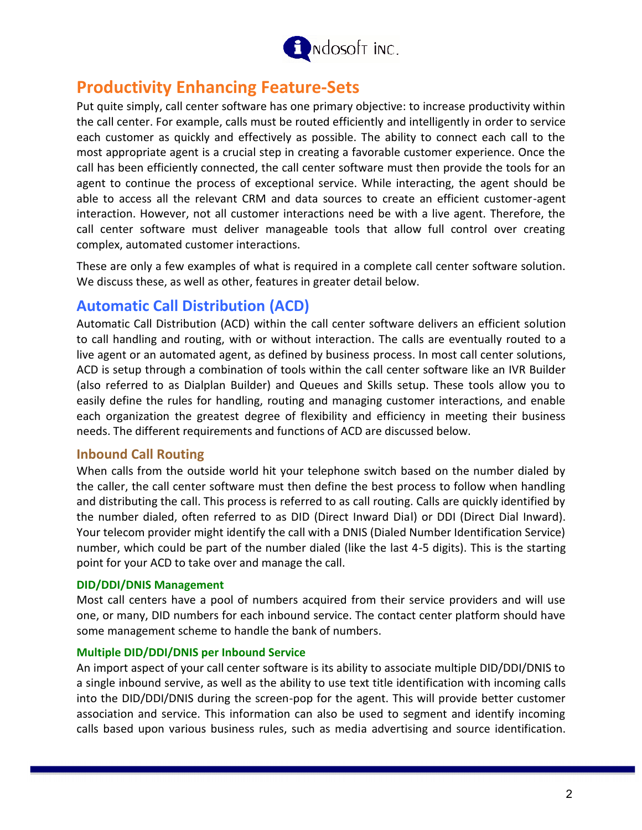

# **Productivity Enhancing Feature-Sets**

Put quite simply, call center software has one primary objective: to increase productivity within the call center. For example, calls must be routed efficiently and intelligently in order to service each customer as quickly and effectively as possible. The ability to connect each call to the most appropriate agent is a crucial step in creating a favorable customer experience. Once the call has been efficiently connected, the call center software must then provide the tools for an agent to continue the process of exceptional service. While interacting, the agent should be able to access all the relevant CRM and data sources to create an efficient customer-agent interaction. However, not all customer interactions need be with a live agent. Therefore, the call center software must deliver manageable tools that allow full control over creating complex, automated customer interactions.

These are only a few examples of what is required in a complete call center software solution. We discuss these, as well as other, features in greater detail below.

## **Automatic Call Distribution (ACD)**

Automatic Call Distribution (ACD) within the call center software delivers an efficient solution to call handling and routing, with or without interaction. The calls are eventually routed to a live agent or an automated agent, as defined by business process. In most call center solutions, ACD is setup through a combination of tools within the call center software like an IVR Builder (also referred to as Dialplan Builder) and Queues and Skills setup. These tools allow you to easily define the rules for handling, routing and managing customer interactions, and enable each organization the greatest degree of flexibility and efficiency in meeting their business needs. The different requirements and functions of ACD are discussed below.

## **Inbound Call Routing**

When calls from the outside world hit your telephone switch based on the number dialed by the caller, the call center software must then define the best process to follow when handling and distributing the call. This process is referred to as call routing. Calls are quickly identified by the number dialed, often referred to as DID (Direct Inward Dial) or DDI (Direct Dial Inward). Your telecom provider might identify the call with a DNIS (Dialed Number Identification Service) number, which could be part of the number dialed (like the last 4-5 digits). This is the starting point for your ACD to take over and manage the call.

#### **DID/DDI/DNIS Management**

Most call centers have a pool of numbers acquired from their service providers and will use one, or many, DID numbers for each inbound service. The contact center platform should have some management scheme to handle the bank of numbers.

#### **Multiple DID/DDI/DNIS per Inbound Service**

An import aspect of your call center software is its ability to associate multiple DID/DDI/DNIS to a single inbound servive, as well as the ability to use text title identification with incoming calls into the DID/DDI/DNIS during the screen-pop for the agent. This will provide better customer association and service. This information can also be used to segment and identify incoming calls based upon various business rules, such as media advertising and source identification.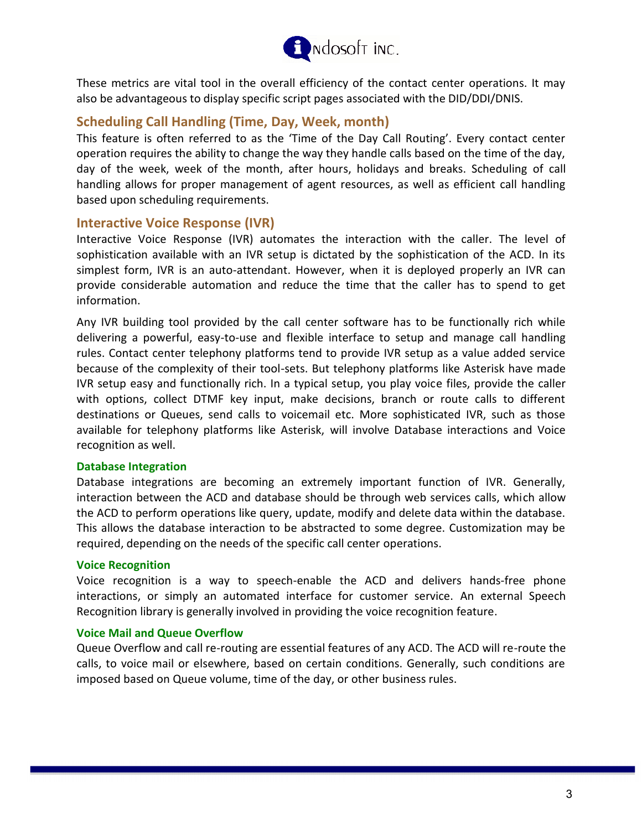

These metrics are vital tool in the overall efficiency of the contact center operations. It may also be advantageous to display specific script pages associated with the DID/DDI/DNIS.

## **Scheduling Call Handling (Time, Day, Week, month)**

This feature is often referred to as the 'Time of the Day Call Routing'. Every contact center operation requires the ability to change the way they handle calls based on the time of the day, day of the week, week of the month, after hours, holidays and breaks. Scheduling of call handling allows for proper management of agent resources, as well as efficient call handling based upon scheduling requirements.

## **Interactive Voice Response (IVR)**

Interactive Voice Response (IVR) automates the interaction with the caller. The level of sophistication available with an IVR setup is dictated by the sophistication of the ACD. In its simplest form, IVR is an auto-attendant. However, when it is deployed properly an IVR can provide considerable automation and reduce the time that the caller has to spend to get information.

Any IVR building tool provided by the call center software has to be functionally rich while delivering a powerful, easy-to-use and flexible interface to setup and manage call handling rules. Contact center telephony platforms tend to provide IVR setup as a value added service because of the complexity of their tool-sets. But telephony platforms like Asterisk have made IVR setup easy and functionally rich. In a typical setup, you play voice files, provide the caller with options, collect DTMF key input, make decisions, branch or route calls to different destinations or Queues, send calls to voicemail etc. More sophisticated IVR, such as those available for telephony platforms like Asterisk, will involve Database interactions and Voice recognition as well.

#### **Database Integration**

Database integrations are becoming an extremely important function of IVR. Generally, interaction between the ACD and database should be through web services calls, which allow the ACD to perform operations like query, update, modify and delete data within the database. This allows the database interaction to be abstracted to some degree. Customization may be required, depending on the needs of the specific call center operations.

#### **Voice Recognition**

Voice recognition is a way to speech-enable the ACD and delivers hands-free phone interactions, or simply an automated interface for customer service. An external Speech Recognition library is generally involved in providing the voice recognition feature.

#### **Voice Mail and Queue Overflow**

Queue Overflow and call re-routing are essential features of any ACD. The ACD will re-route the calls, to voice mail or elsewhere, based on certain conditions. Generally, such conditions are imposed based on Queue volume, time of the day, or other business rules.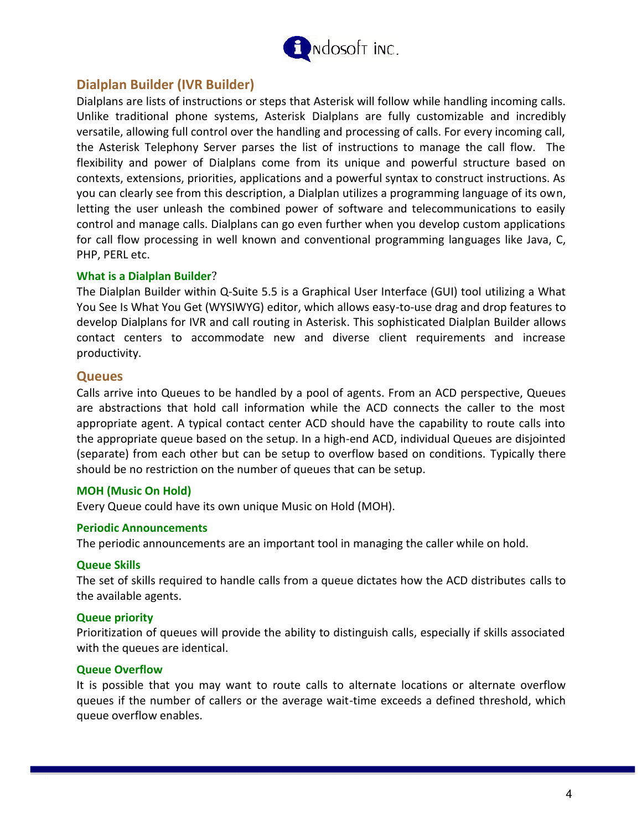

## **Dialplan Builder (IVR Builder)**

Dialplans are lists of instructions or steps that Asterisk will follow while handling incoming calls. Unlike traditional phone systems, Asterisk Dialplans are fully customizable and incredibly versatile, allowing full control over the handling and processing of calls. For every incoming call, the Asterisk Telephony Server parses the list of instructions to manage the call flow. The flexibility and power of Dialplans come from its unique and powerful structure based on contexts, extensions, priorities, applications and a powerful syntax to construct instructions. As you can clearly see from this description, a Dialplan utilizes a programming language of its own, letting the user unleash the combined power of software and telecommunications to easily control and manage calls. Dialplans can go even further when you develop custom applications for call flow processing in well known and conventional programming languages like Java, C, PHP, PERL etc.

#### **What is a Dialplan Builder**?

The Dialplan Builder within Q-Suite 5.5 is a Graphical User Interface (GUI) tool utilizing a What You See Is What You Get (WYSIWYG) editor, which allows easy-to-use drag and drop features to develop Dialplans for IVR and call routing in Asterisk. This sophisticated Dialplan Builder allows contact centers to accommodate new and diverse client requirements and increase productivity.

#### **Queues**

Calls arrive into Queues to be handled by a pool of agents. From an ACD perspective, Queues are abstractions that hold call information while the ACD connects the caller to the most appropriate agent. A typical contact center ACD should have the capability to route calls into the appropriate queue based on the setup. In a high-end ACD, individual Queues are disjointed (separate) from each other but can be setup to overflow based on conditions. Typically there should be no restriction on the number of queues that can be setup.

#### **MOH (Music On Hold)**

Every Queue could have its own unique Music on Hold (MOH).

#### **Periodic Announcements**

The periodic announcements are an important tool in managing the caller while on hold.

#### **Queue Skills**

The set of skills required to handle calls from a queue dictates how the ACD distributes calls to the available agents.

#### **Queue priority**

Prioritization of queues will provide the ability to distinguish calls, especially if skills associated with the queues are identical.

#### **Queue Overflow**

It is possible that you may want to route calls to alternate locations or alternate overflow queues if the number of callers or the average wait-time exceeds a defined threshold, which queue overflow enables.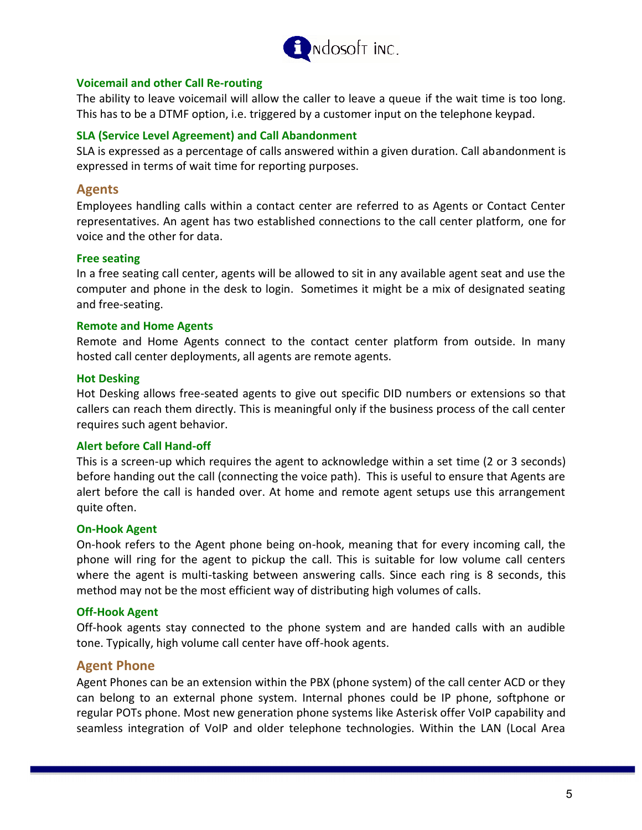

#### **Voicemail and other Call Re-routing**

The ability to leave voicemail will allow the caller to leave a queue if the wait time is too long. This has to be a DTMF option, i.e. triggered by a customer input on the telephone keypad.

#### **SLA (Service Level Agreement) and Call Abandonment**

SLA is expressed as a percentage of calls answered within a given duration. Call abandonment is expressed in terms of wait time for reporting purposes.

## **Agents**

Employees handling calls within a contact center are referred to as Agents or Contact Center representatives. An agent has two established connections to the call center platform, one for voice and the other for data.

#### **Free seating**

In a free seating call center, agents will be allowed to sit in any available agent seat and use the computer and phone in the desk to login. Sometimes it might be a mix of designated seating and free-seating.

#### **Remote and Home Agents**

Remote and Home Agents connect to the contact center platform from outside. In many hosted call center deployments, all agents are remote agents.

#### **Hot Desking**

Hot Desking allows free-seated agents to give out specific DID numbers or extensions so that callers can reach them directly. This is meaningful only if the business process of the call center requires such agent behavior.

#### **Alert before Call Hand-off**

This is a screen-up which requires the agent to acknowledge within a set time (2 or 3 seconds) before handing out the call (connecting the voice path). This is useful to ensure that Agents are alert before the call is handed over. At home and remote agent setups use this arrangement quite often.

#### **On-Hook Agent**

On-hook refers to the Agent phone being on-hook, meaning that for every incoming call, the phone will ring for the agent to pickup the call. This is suitable for low volume call centers where the agent is multi-tasking between answering calls. Since each ring is 8 seconds, this method may not be the most efficient way of distributing high volumes of calls.

#### **Off-Hook Agent**

Off-hook agents stay connected to the phone system and are handed calls with an audible tone. Typically, high volume call center have off-hook agents.

#### **Agent Phone**

Agent Phones can be an extension within the PBX (phone system) of the call center ACD or they can belong to an external phone system. Internal phones could be IP phone, softphone or regular POTs phone. Most new generation phone systems like Asterisk offer VoIP capability and seamless integration of VoIP and older telephone technologies. Within the LAN (Local Area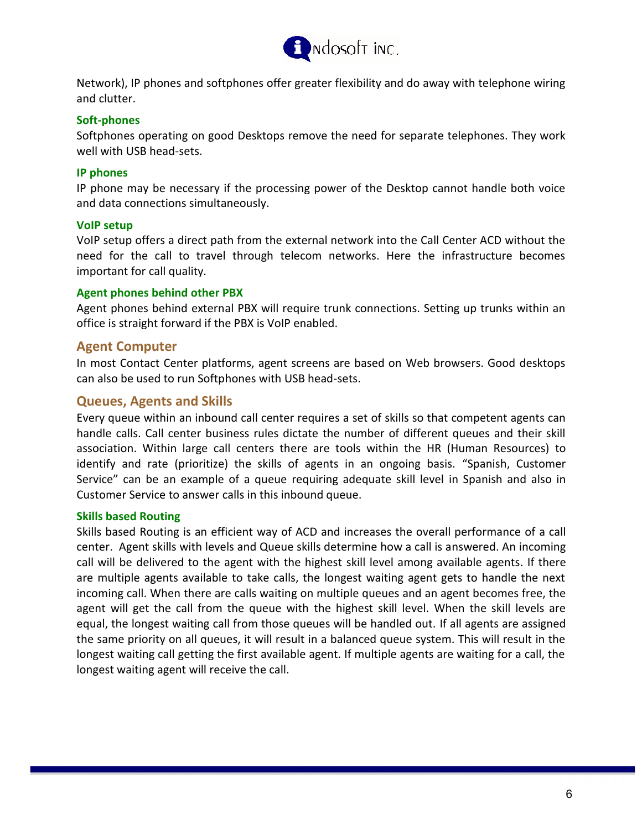

Network), IP phones and softphones offer greater flexibility and do away with telephone wiring and clutter.

#### **Soft-phones**

Softphones operating on good Desktops remove the need for separate telephones. They work well with USB head-sets.

#### **IP phones**

IP phone may be necessary if the processing power of the Desktop cannot handle both voice and data connections simultaneously.

#### **VoIP setup**

VoIP setup offers a direct path from the external network into the Call Center ACD without the need for the call to travel through telecom networks. Here the infrastructure becomes important for call quality.

#### **Agent phones behind other PBX**

Agent phones behind external PBX will require trunk connections. Setting up trunks within an office is straight forward if the PBX is VoIP enabled.

#### **Agent Computer**

In most Contact Center platforms, agent screens are based on Web browsers. Good desktops can also be used to run Softphones with USB head-sets.

#### **Queues, Agents and Skills**

Every queue within an inbound call center requires a set of skills so that competent agents can handle calls. Call center business rules dictate the number of different queues and their skill association. Within large call centers there are tools within the HR (Human Resources) to identify and rate (prioritize) the skills of agents in an ongoing basis. "Spanish, Customer Service" can be an example of a queue requiring adequate skill level in Spanish and also in Customer Service to answer calls in this inbound queue.

#### **Skills based Routing**

Skills based Routing is an efficient way of ACD and increases the overall performance of a call center. Agent skills with levels and Queue skills determine how a call is answered. An incoming call will be delivered to the agent with the highest skill level among available agents. If there are multiple agents available to take calls, the longest waiting agent gets to handle the next incoming call. When there are calls waiting on multiple queues and an agent becomes free, the agent will get the call from the queue with the highest skill level. When the skill levels are equal, the longest waiting call from those queues will be handled out. If all agents are assigned the same priority on all queues, it will result in a balanced queue system. This will result in the longest waiting call getting the first available agent. If multiple agents are waiting for a call, the longest waiting agent will receive the call.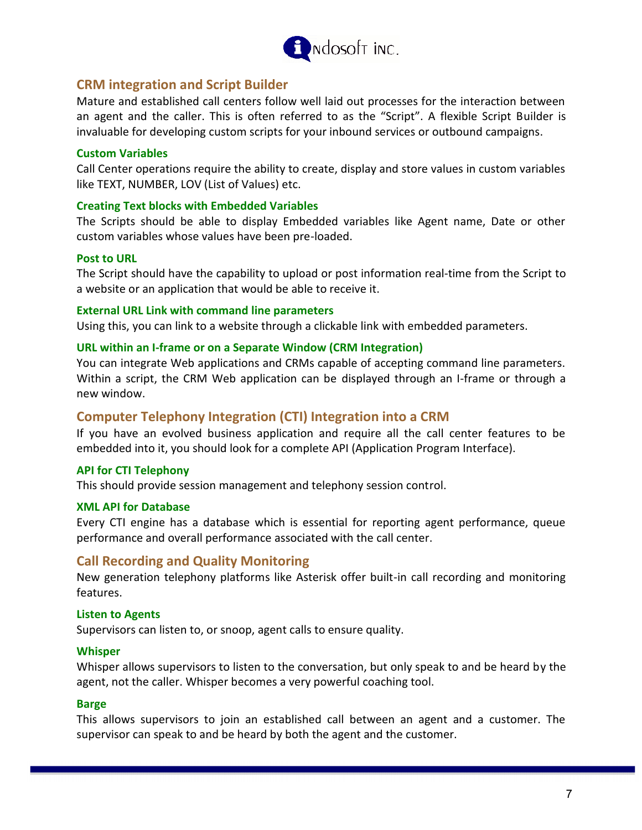

## **CRM integration and Script Builder**

Mature and established call centers follow well laid out processes for the interaction between an agent and the caller. This is often referred to as the "Script". A flexible Script Builder is invaluable for developing custom scripts for your inbound services or outbound campaigns.

#### **Custom Variables**

Call Center operations require the ability to create, display and store values in custom variables like TEXT, NUMBER, LOV (List of Values) etc.

#### **Creating Text blocks with Embedded Variables**

The Scripts should be able to display Embedded variables like Agent name, Date or other custom variables whose values have been pre-loaded.

#### **Post to URL**

The Script should have the capability to upload or post information real-time from the Script to a website or an application that would be able to receive it.

#### **External URL Link with command line parameters**

Using this, you can link to a website through a clickable link with embedded parameters.

#### **URL within an I-frame or on a Separate Window (CRM Integration)**

You can integrate Web applications and CRMs capable of accepting command line parameters. Within a script, the CRM Web application can be displayed through an I-frame or through a new window.

#### **Computer Telephony Integration (CTI) Integration into a CRM**

If you have an evolved business application and require all the call center features to be embedded into it, you should look for a complete API (Application Program Interface).

#### **API for CTI Telephony**

This should provide session management and telephony session control.

#### **XML API for Database**

Every CTI engine has a database which is essential for reporting agent performance, queue performance and overall performance associated with the call center.

## **Call Recording and Quality Monitoring**

New generation telephony platforms like Asterisk offer built-in call recording and monitoring features.

#### **Listen to Agents**

Supervisors can listen to, or snoop, agent calls to ensure quality.

#### **Whisper**

Whisper allows supervisors to listen to the conversation, but only speak to and be heard by the agent, not the caller. Whisper becomes a very powerful coaching tool.

#### **Barge**

This allows supervisors to join an established call between an agent and a customer. The supervisor can speak to and be heard by both the agent and the customer.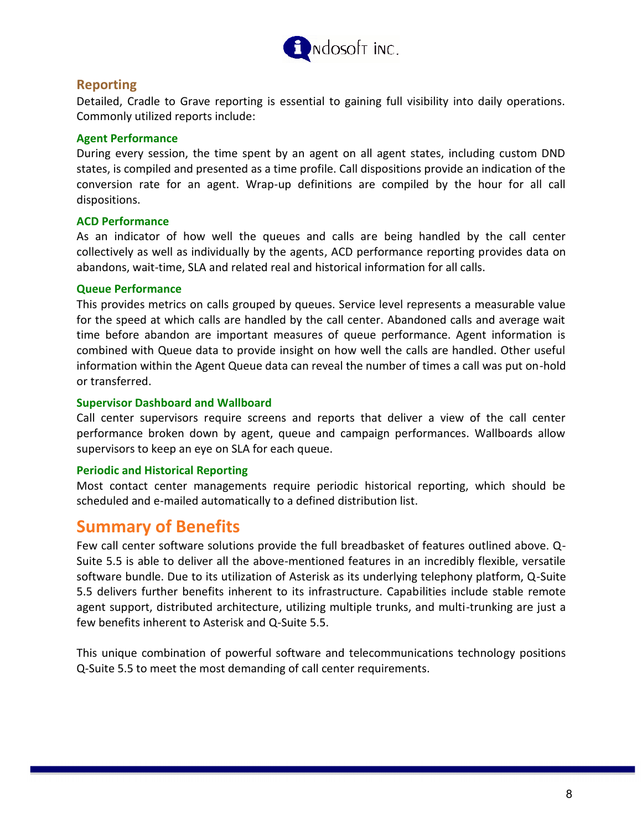

## **Reporting**

Detailed, Cradle to Grave reporting is essential to gaining full visibility into daily operations. Commonly utilized reports include:

#### **Agent Performance**

During every session, the time spent by an agent on all agent states, including custom DND states, is compiled and presented as a time profile. Call dispositions provide an indication of the conversion rate for an agent. Wrap-up definitions are compiled by the hour for all call dispositions.

#### **ACD Performance**

As an indicator of how well the queues and calls are being handled by the call center collectively as well as individually by the agents, ACD performance reporting provides data on abandons, wait-time, SLA and related real and historical information for all calls.

#### **Queue Performance**

This provides metrics on calls grouped by queues. Service level represents a measurable value for the speed at which calls are handled by the call center. Abandoned calls and average wait time before abandon are important measures of queue performance. Agent information is combined with Queue data to provide insight on how well the calls are handled. Other useful information within the Agent Queue data can reveal the number of times a call was put on-hold or transferred.

#### **Supervisor Dashboard and Wallboard**

Call center supervisors require screens and reports that deliver a view of the call center performance broken down by agent, queue and campaign performances. Wallboards allow supervisors to keep an eye on SLA for each queue.

#### **Periodic and Historical Reporting**

Most contact center managements require periodic historical reporting, which should be scheduled and e-mailed automatically to a defined distribution list.

# **Summary of Benefits**

Few call center software solutions provide the full breadbasket of features outlined above. Q-Suite 5.5 is able to deliver all the above-mentioned features in an incredibly flexible, versatile software bundle. Due to its utilization of Asterisk as its underlying telephony platform, Q-Suite 5.5 delivers further benefits inherent to its infrastructure. Capabilities include stable remote agent support, distributed architecture, utilizing multiple trunks, and multi-trunking are just a few benefits inherent to Asterisk and Q-Suite 5.5.

This unique combination of powerful software and telecommunications technology positions Q-Suite 5.5 to meet the most demanding of call center requirements.